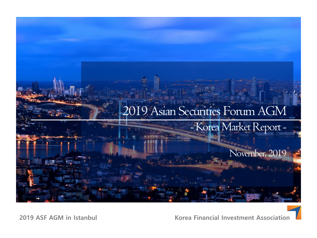

**2019 ASF AGM in Istanbul**

**Korea Financial Investment Association**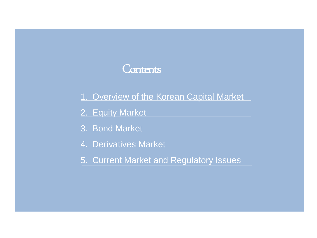#### **Contents**

- 1. Overview of the Korean Capital Market
- 2. Equity Market
- 3. Bond Market
- 4. Derivatives Market
- 5. Current Market and Regulatory Issues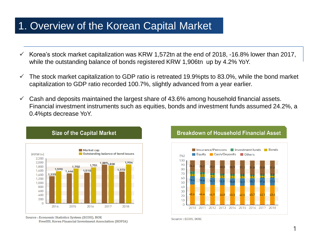#### 1. Overview of the Korean Capital Market

- $\checkmark$  Korea's stock market capitalization was KRW 1,572tn at the end of 2018, -16.8% lower than 2017, while the outstanding balance of bonds registered KRW 1,906tn up by 4.2% YoY.
- $\checkmark$  The stock market capitalization to GDP ratio is retreated 19.9%pts to 83.0%, while the bond market capitalization to GDP ratio recorded 100.7%, slightly advanced from a year earlier.
- $\checkmark$  Cash and deposits maintained the largest share of 43.6% among household financial assets. Financial investment instruments such as equities, bonds and investment funds assumed 24.2%, a 0.4%pts decrease YoY.



**Size of the Capital Market** 

#### Source : Economic Statistics System (ECOS), BOK FreeSIS, Korea Financial Investment Association (KOFIA)



Source: ECOS, BOK

#### **Breakdown of Household Financial Asset**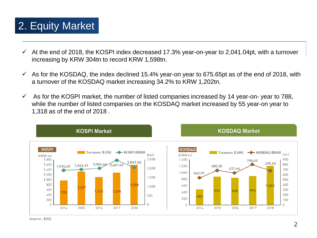## 2. Equity Market

- $\checkmark$  At the end of 2018, the KOSPI index decreased 17.3% year-on-year to 2,041.04pt, with a turnover increasing by KRW 304tn to record KRW 1,598tn.
- $\checkmark$  As for the KOSDAQ, the index declined 15.4% year-on year to 675.65pt as of the end of 2018, with a turnover of the KOSDAQ market increasing 34.2% to KRW 1,202tn.
- $\checkmark$  As for the KOSPI market, the number of listed companies increased by 14 year-on- year to 788, while the number of listed companies on the KOSDAQ market increased by 55 year-on year to 1,318 as of the end of 2018 .

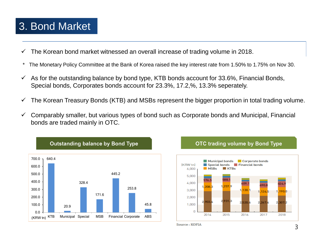#### 3. Bond Market

- The Korean bond market witnessed an overall increase of trading volume in 2018.
- \* The Monetary Policy Committee at the Bank of Korea raised the key interest rate from 1.50% to 1.75% on Nov 30.
- $\checkmark$  As for the outstanding balance by bond type, KTB bonds account for 33.6%, Financial Bonds, Special bonds, Corporates bonds account for 23.3%, 17.2,%, 13.3% seperately.
- $\checkmark$  The Korean Treasury Bonds (KTB) and MSBs represent the bigger proportion in total trading volume.
- $\checkmark$  Comparably smaller, but various types of bond such as Corporate bonds and Municipal, Financial bonds are traded mainly in OTC.



#### **OTC trading volume by Bond Type**



Source: KOFIA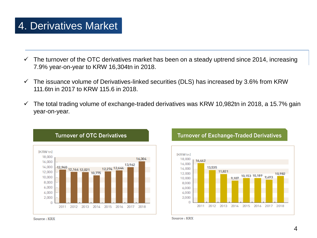## 4. Derivatives Market

- $\checkmark$  The turnover of the OTC derivatives market has been on a steady uptrend since 2014, increasing 7.9% year-on-year to KRW 16,304tn in 2018.
- $\checkmark$  The issuance volume of Derivatives-linked securities (DLS) has increased by 3.6% from KRW 111.6tn in 2017 to KRW 115.6 in 2018.
- $\checkmark$  The total trading volume of exchange-traded derivatives was KRW 10,982tn in 2018, a 15.7% gain year-on-year.







Source: KRX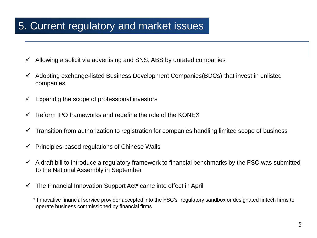### 5. Current regulatory and market issues

- $\checkmark$  Allowing a solicit via advertising and SNS, ABS by unrated companies
- $\checkmark$  Adopting exchange-listed Business Development Companies(BDCs) that invest in unlisted companies
- $\checkmark$  Expandig the scope of professional investors
- $\checkmark$  Reform IPO frameworks and redefine the role of the KONEX
- $\checkmark$  Transition from authorization to registration for companies handling limited scope of business
- $\checkmark$  Principles-based regulations of Chinese Walls
- $\checkmark$  A draft bill to introduce a regulatory framework to financial benchmarks by the FSC was submitted to the National Assembly in September
- $\checkmark$  The Financial Innovation Support Act<sup>\*</sup> came into effect in April

\* Innovative financial service provider accepted into the FSC's regulatory sandbox or designated fintech firms to operate business commissioned by financial firms